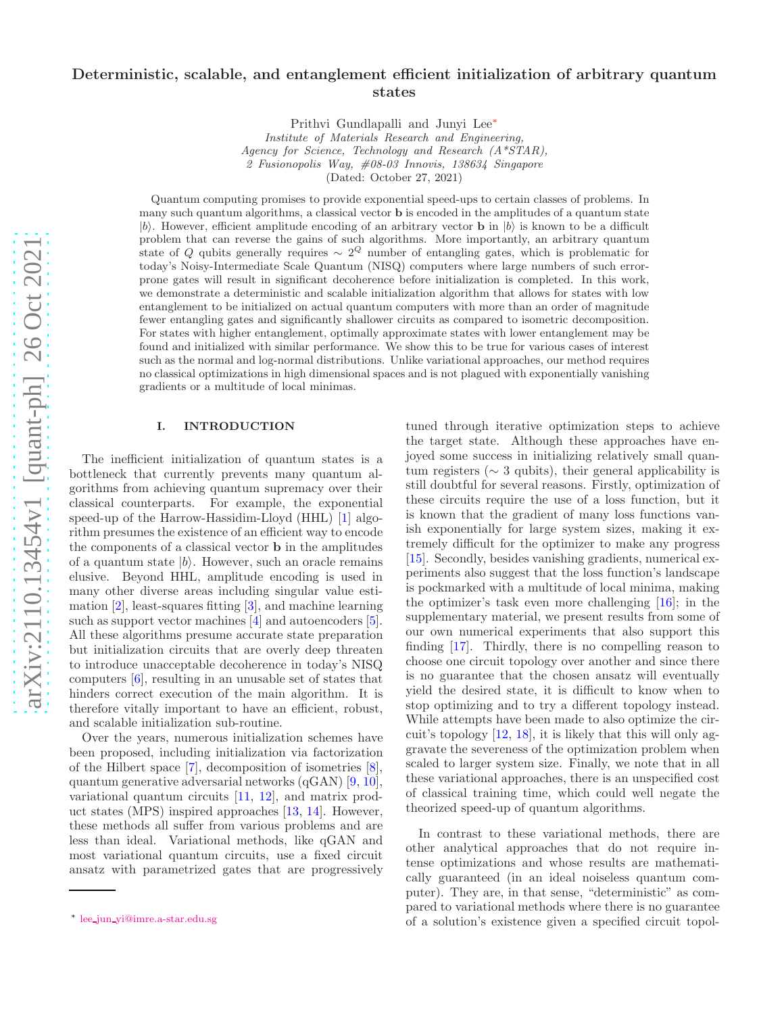## Deterministic, scalable, and entanglement efficient initialization of arbitrary quantum states

Prithvi Gundlapalli and Junyi Lee[∗](#page-9-0)

*Institute of Materials Research and Engineering, Agency for Science, Technology and Research (A\*STAR), 2 Fusionopolis Way, #08-03 Innovis, 138634 Singapore* (Dated: October 27, 2021)

Quantum computing promises to provide exponential speed-ups to certain classes of problems. In many such quantum algorithms, a classical vector **b** is encoded in the amplitudes of a quantum state  $|b\rangle$ . However, efficient amplitude encoding of an arbitrary vector **b** in  $|b\rangle$  is known to be a difficult problem that can reverse the gains of such algorithms. More importantly, an arbitrary quantum state of Q qubits generally requires  $\sim 2^Q$  number of entangling gates, which is problematic for today's Noisy-Intermediate Scale Quantum (NISQ) computers where large numbers of such errorprone gates will result in significant decoherence before initialization is completed. In this work, we demonstrate a deterministic and scalable initialization algorithm that allows for states with low entanglement to be initialized on actual quantum computers with more than an order of magnitude fewer entangling gates and significantly shallower circuits as compared to isometric decomposition. For states with higher entanglement, optimally approximate states with lower entanglement may be found and initialized with similar performance. We show this to be true for various cases of interest such as the normal and log-normal distributions. Unlike variational approaches, our method requires no classical optimizations in high dimensional spaces and is not plagued with exponentially vanishing gradients or a multitude of local minimas.

## I. INTRODUCTION

The inefficient initialization of quantum states is a bottleneck that currently prevents many quantum algorithms from achieving quantum supremacy over their classical counterparts. For example, the exponential speed-up of the Harrow-Hassidim-Lloyd (HHL) [\[1\]](#page-7-0) algorithm presumes the existence of an efficient way to encode the components of a classical vector b in the amplitudes of a quantum state  $|b\rangle$ . However, such an oracle remains elusive. Beyond HHL, amplitude encoding is used in many other diverse areas including singular value estimation [\[2\]](#page-7-1), least-squares fitting [\[3](#page-7-2)], and machine learning such as support vector machines [\[4](#page-7-3)] and autoencoders [\[5\]](#page-7-4). All these algorithms presume accurate state preparation but initialization circuits that are overly deep threaten to introduce unacceptable decoherence in today's NISQ computers [\[6\]](#page-7-5), resulting in an unusable set of states that hinders correct execution of the main algorithm. It is therefore vitally important to have an efficient, robust, and scalable initialization sub-routine.

Over the years, numerous initialization schemes have been proposed, including initialization via factorization of the Hilbert space [\[7](#page-7-6)], decomposition of isometries [\[8\]](#page-7-7), quantum generative adversarial networks (qGAN) [\[9](#page-7-8), [10\]](#page-7-9), variational quantum circuits [\[11,](#page-8-0) [12\]](#page-8-1), and matrix product states (MPS) inspired approaches [\[13,](#page-8-2) [14\]](#page-8-3). However, these methods all suffer from various problems and are less than ideal. Variational methods, like qGAN and most variational quantum circuits, use a fixed circuit ansatz with parametrized gates that are progressively

tuned through iterative optimization steps to achieve the target state. Although these approaches have enjoyed some success in initializing relatively small quantum registers (∼ 3 qubits), their general applicability is still doubtful for several reasons. Firstly, optimization of these circuits require the use of a loss function, but it is known that the gradient of many loss functions vanish exponentially for large system sizes, making it extremely difficult for the optimizer to make any progress [\[15\]](#page-8-4). Secondly, besides vanishing gradients, numerical experiments also suggest that the loss function's landscape is pockmarked with a multitude of local minima, making the optimizer's task even more challenging [\[16](#page-8-5)]; in the supplementary material, we present results from some of our own numerical experiments that also support this finding [\[17](#page-8-6)]. Thirdly, there is no compelling reason to choose one circuit topology over another and since there is no guarantee that the chosen ansatz will eventually yield the desired state, it is difficult to know when to stop optimizing and to try a different topology instead. While attempts have been made to also optimize the circuit's topology [\[12](#page-8-1), [18](#page-8-7)], it is likely that this will only aggravate the severeness of the optimization problem when scaled to larger system size. Finally, we note that in all these variational approaches, there is an unspecified cost of classical training time, which could well negate the theorized speed-up of quantum algorithms.

In contrast to these variational methods, there are other analytical approaches that do not require intense optimizations and whose results are mathematically guaranteed (in an ideal noiseless quantum computer). They are, in that sense, "deterministic" as compared to variational methods where there is no guarantee of a solution's existence given a specified circuit topol-

<sup>∗</sup> lee jun [yi@imre.a-star.edu.sg](mailto:lee_jun_yi@imre.a-star.edu.sg)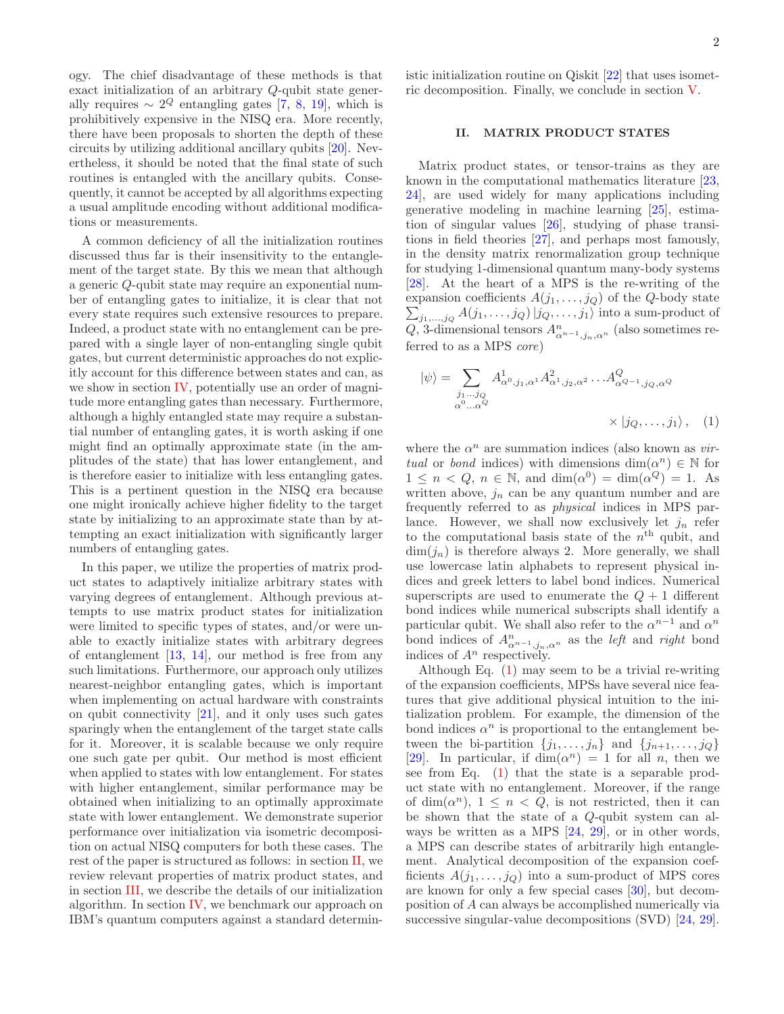ogy. The chief disadvantage of these methods is that exact initialization of an arbitrary Q-qubit state generally requires  $\sim 2^Q$  entangling gates [\[7](#page-7-6), [8](#page-7-7), [19\]](#page-8-8), which is prohibitively expensive in the NISQ era. More recently, there have been proposals to shorten the depth of these circuits by utilizing additional ancillary qubits [\[20\]](#page-8-9). Nevertheless, it should be noted that the final state of such routines is entangled with the ancillary qubits. Consequently, it cannot be accepted by all algorithms expecting a usual amplitude encoding without additional modifications or measurements.

A common deficiency of all the initialization routines discussed thus far is their insensitivity to the entanglement of the target state. By this we mean that although a generic Q-qubit state may require an exponential number of entangling gates to initialize, it is clear that not every state requires such extensive resources to prepare. Indeed, a product state with no entanglement can be prepared with a single layer of non-entangling single qubit gates, but current deterministic approaches do not explicitly account for this difference between states and can, as we show in section [IV,](#page-14-0) potentially use an order of magnitude more entangling gates than necessary. Furthermore, although a highly entangled state may require a substantial number of entangling gates, it is worth asking if one might find an optimally approximate state (in the amplitudes of the state) that has lower entanglement, and is therefore easier to initialize with less entangling gates. This is a pertinent question in the NISQ era because one might ironically achieve higher fidelity to the target state by initializing to an approximate state than by attempting an exact initialization with significantly larger numbers of entangling gates.

In this paper, we utilize the properties of matrix product states to adaptively initialize arbitrary states with varying degrees of entanglement. Although previous attempts to use matrix product states for initialization were limited to specific types of states, and/or were unable to exactly initialize states with arbitrary degrees of entanglement [\[13](#page-8-2), [14\]](#page-8-3), our method is free from any such limitations. Furthermore, our approach only utilizes nearest-neighbor entangling gates, which is important when implementing on actual hardware with constraints on qubit connectivity [\[21](#page-8-10)], and it only uses such gates sparingly when the entanglement of the target state calls for it. Moreover, it is scalable because we only require one such gate per qubit. Our method is most efficient when applied to states with low entanglement. For states with higher entanglement, similar performance may be obtained when initializing to an optimally approximate state with lower entanglement. We demonstrate superior performance over initialization via isometric decomposition on actual NISQ computers for both these cases. The rest of the paper is structured as follows: in section [II,](#page-10-0) we review relevant properties of matrix product states, and in section [III,](#page-12-0) we describe the details of our initialization algorithm. In section [IV,](#page-14-0) we benchmark our approach on IBM's quantum computers against a standard deterministic initialization routine on Qiskit [\[22\]](#page-14-1) that uses isometric decomposition. Finally, we conclude in section [V.](#page-14-2)

## II. MATRIX PRODUCT STATES

Matrix product states, or tensor-trains as they are known in the computational mathematics literature [\[23](#page-8-11), [24](#page-8-12)], are used widely for many applications including generative modeling in machine learning [\[25](#page-8-13)], estimation of singular values [\[26\]](#page-8-14), studying of phase transitions in field theories [\[27\]](#page-8-15), and perhaps most famously, in the density matrix renormalization group technique for studying 1-dimensional quantum many-body systems [\[28\]](#page-8-16). At the heart of a MPS is the re-writing of the expansion coefficients  $A(j_1, \ldots, j_Q)$  of the Q-body state  $\sum_{j_1,\ldots,j_Q} A(j_1,\ldots,j_Q) |j_Q,\ldots,j_1\rangle$  into a sum-product of Q, 3-dimensional tensors  $A_{\alpha^{n-1},j_n,\alpha^n}^n$  (also sometimes referred to as a MPS core)

<span id="page-1-0"></span>
$$
|\psi\rangle = \sum_{\substack{j_1...j_Q \\ \alpha^0... \alpha^Q}} A^1_{\alpha^0,j_1,\alpha^1} A^2_{\alpha^1,j_2,\alpha^2} \dots A^Q_{\alpha^{Q-1},j_Q,\alpha^Q}
$$

$$
\times |j_Q,\dots,j_1\rangle, \quad (1)
$$

where the  $\alpha^n$  are summation indices (also known as *vir*tual or bond indices) with dimensions  $\dim(\alpha^n) \in \mathbb{N}$  for  $1 \leq n < Q, n \in \mathbb{N}$ , and  $\dim(\alpha^0) = \dim(\alpha^Q) = 1$ . As written above,  $j_n$  can be any quantum number and are frequently referred to as physical indices in MPS parlance. However, we shall now exclusively let  $j_n$  refer to the computational basis state of the  $n<sup>th</sup>$  qubit, and  $\dim(j_n)$  is therefore always 2. More generally, we shall use lowercase latin alphabets to represent physical indices and greek letters to label bond indices. Numerical superscripts are used to enumerate the  $Q + 1$  different bond indices while numerical subscripts shall identify a particular qubit. We shall also refer to the  $\alpha^{n-1}$  and  $\alpha^n$ bond indices of  $A_{\alpha^{n-1},j_n,\alpha^n}^n$  as the *left* and *right* bond indices of  $A<sup>n</sup>$  respectively.

Although Eq. [\(1\)](#page-1-0) may seem to be a trivial re-writing of the expansion coefficients, MPSs have several nice features that give additional physical intuition to the initialization problem. For example, the dimension of the bond indices  $\alpha^n$  is proportional to the entanglement between the bi-partition  $\{j_1, \ldots, j_n\}$  and  $\{j_{n+1}, \ldots, j_Q\}$ [\[29\]](#page-8-17). In particular, if  $\dim(\alpha^n) = 1$  for all n, then we see from Eq. [\(1\)](#page-1-0) that the state is a separable product state with no entanglement. Moreover, if the range of dim( $\alpha^n$ ),  $1 \leq n < Q$ , is not restricted, then it can be shown that the state of a Q-qubit system can always be written as a MPS [\[24,](#page-8-12) [29\]](#page-8-17), or in other words, a MPS can describe states of arbitrarily high entanglement. Analytical decomposition of the expansion coefficients  $A(j_1, \ldots, j_Q)$  into a sum-product of MPS cores are known for only a few special cases [\[30\]](#page-8-18), but decomposition of A can always be accomplished numerically via successive singular-value decompositions (SVD) [\[24,](#page-8-12) [29\]](#page-8-17).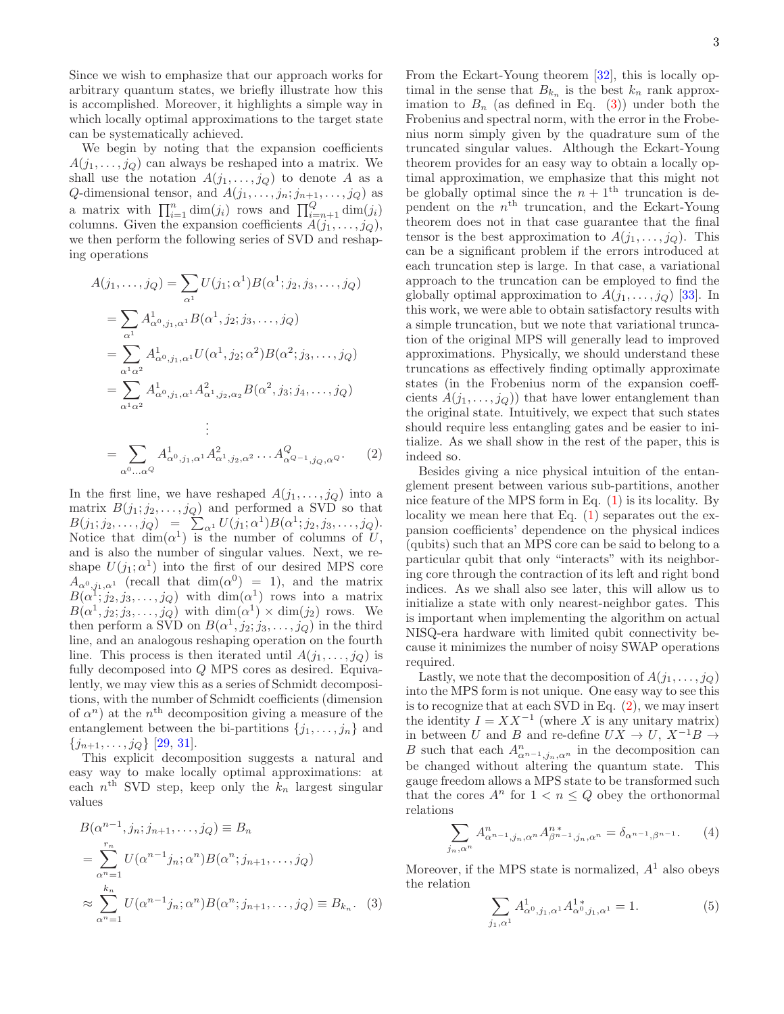Since we wish to emphasize that our approach works for arbitrary quantum states, we briefly illustrate how this is accomplished. Moreover, it highlights a simple way in which locally optimal approximations to the target state can be systematically achieved.

We begin by noting that the expansion coefficients  $A(j_1, \ldots, j_Q)$  can always be reshaped into a matrix. We shall use the notation  $A(j_1, \ldots, j_Q)$  to denote A as a  $Q$ -dimensional tensor, and  $A(j_1, \ldots, j_n; j_{n+1}, \ldots, j_Q)$  as a matrix with  $\prod_{i=1}^n \dim(j_i)$  rows and  $\prod_{i=n+1}^Q \dim(j_i)$ columns. Given the expansion coefficients  $A(j_1, \ldots, j_Q)$ , we then perform the following series of SVD and reshaping operations

$$
A(j_1, ..., j_Q) = \sum_{\alpha^1} U(j_1; \alpha^1) B(\alpha^1; j_2, j_3, ..., j_Q)
$$
  
\n
$$
= \sum_{\alpha^1} A^1_{\alpha^0, j_1, \alpha^1} B(\alpha^1, j_2; j_3, ..., j_Q)
$$
  
\n
$$
= \sum_{\alpha^1 \alpha^2} A^1_{\alpha^0, j_1, \alpha^1} U(\alpha^1, j_2; \alpha^2) B(\alpha^2; j_3, ..., j_Q)
$$
  
\n
$$
= \sum_{\alpha^1 \alpha^2} A^1_{\alpha^0, j_1, \alpha^1} A^2_{\alpha^1, j_2, \alpha_2} B(\alpha^2, j_3; j_4, ..., j_Q)
$$
  
\n
$$
\vdots
$$
  
\n
$$
= \sum_{\alpha^0 ... \alpha^Q} A^1_{\alpha^0, j_1, \alpha^1} A^2_{\alpha^1, j_2, \alpha^2} ... A^Q_{\alpha^{Q-1}, j_Q, \alpha^Q}.
$$
 (2)

In the first line, we have reshaped  $A(j_1, \ldots, j_Q)$  into a matrix  $B(j_1; j_2, \ldots, j_Q)$  and performed a SVD so that  $B(j_1; j_2, \ldots, j_Q) = \sum_{\alpha^1} U(j_1; \alpha^1) B(\alpha^1; j_2, j_3, \ldots, j_Q).$ Notice that  $\dim(\alpha^1)$  is the number of columns of U, and is also the number of singular values. Next, we reshape  $U(j_1; \alpha^1)$  into the first of our desired MPS core  $A_{\alpha^0, j_1, \alpha^1}$  (recall that  $\dim(\alpha^0) = 1$ ), and the matrix  $B(\alpha^1;j_2,j_3,\ldots,j_Q)$  with  $\dim(\alpha^1)$  rows into a matrix  $B(\alpha^1, j_2; j_3, \ldots, j_Q)$  with  $\dim(\alpha^1) \times \dim(j_2)$  rows. We then perform a SVD on  $B(\alpha^1, j_2; j_3, \ldots, j_Q)$  in the third line, and an analogous reshaping operation on the fourth line. This process is then iterated until  $A(j_1, \ldots, j_Q)$  is fully decomposed into Q MPS cores as desired. Equivalently, we may view this as a series of Schmidt decompositions, with the number of Schmidt coefficients (dimension of  $\alpha^n$ ) at the n<sup>th</sup> decomposition giving a measure of the entanglement between the bi-partitions  $\{j_1, \ldots, j_n\}$  and  $\{j_{n+1}, \ldots, j_Q\}$  [\[29,](#page-8-17) [31\]](#page-8-19).

This explicit decomposition suggests a natural and easy way to make locally optimal approximations: at each  $n<sup>th</sup>$  SVD step, keep only the  $k_n$  largest singular values

$$
B(\alpha^{n-1}, j_n; j_{n+1}, \dots, j_Q) \equiv B_n
$$
  
= 
$$
\sum_{\alpha^n=1}^{r_n} U(\alpha^{n-1} j_n; \alpha^n) B(\alpha^n; j_{n+1}, \dots, j_Q)
$$
  

$$
\approx \sum_{\alpha^n=1}^{k_n} U(\alpha^{n-1} j_n; \alpha^n) B(\alpha^n; j_{n+1}, \dots, j_Q) \equiv B_{k_n}.
$$
 (3)

From the Eckart-Young theorem [\[32\]](#page-8-20), this is locally optimal in the sense that  $B_{k_n}$  is the best  $k_n$  rank approximation to  $B_n$  (as defined in Eq. [\(3\)](#page-2-0)) under both the Frobenius and spectral norm, with the error in the Frobenius norm simply given by the quadrature sum of the truncated singular values. Although the Eckart-Young theorem provides for an easy way to obtain a locally optimal approximation, we emphasize that this might not be globally optimal since the  $n + 1$ <sup>th</sup> truncation is dependent on the  $n<sup>th</sup>$  truncation, and the Eckart-Young theorem does not in that case guarantee that the final tensor is the best approximation to  $A(j_1, \ldots, j_Q)$ . This can be a significant problem if the errors introduced at each truncation step is large. In that case, a variational approach to the truncation can be employed to find the globally optimal approximation to  $A(j_1, \ldots, j_Q)$  [\[33\]](#page-8-21). In this work, we were able to obtain satisfactory results with a simple truncation, but we note that variational truncation of the original MPS will generally lead to improved approximations. Physically, we should understand these truncations as effectively finding optimally approximate states (in the Frobenius norm of the expansion coeffcients  $A(j_1, \ldots, j_Q)$  that have lower entanglement than the original state. Intuitively, we expect that such states should require less entangling gates and be easier to initialize. As we shall show in the rest of the paper, this is indeed so.

<span id="page-2-1"></span>Besides giving a nice physical intuition of the entanglement present between various sub-partitions, another nice feature of the MPS form in Eq. [\(1\)](#page-1-0) is its locality. By locality we mean here that Eq.  $(1)$  separates out the expansion coefficients' dependence on the physical indices (qubits) such that an MPS core can be said to belong to a particular qubit that only "interacts" with its neighboring core through the contraction of its left and right bond indices. As we shall also see later, this will allow us to initialize a state with only nearest-neighbor gates. This is important when implementing the algorithm on actual NISQ-era hardware with limited qubit connectivity because it minimizes the number of noisy SWAP operations required.

Lastly, we note that the decomposition of  $A(j_1, \ldots, j_Q)$ into the MPS form is not unique. One easy way to see this is to recognize that at each SVD in Eq. [\(2\)](#page-2-1), we may insert the identity  $I = XX^{-1}$  (where X is any unitary matrix) in between U and B and re-define  $UX \to U$ ,  $X^{-1}B \to$ B such that each  $A_{\alpha^{n-1},j_n,\alpha^n}^n$  in the decomposition can be changed without altering the quantum state. This gauge freedom allows a MPS state to be transformed such that the cores  $A^n$  for  $1 < n \leq Q$  obey the orthonormal relations

<span id="page-2-2"></span>
$$
\sum_{j_n,\alpha^n} A_{\alpha^{n-1},j_n,\alpha^n}^n A_{\beta^{n-1},j_n,\alpha^n}^{n*} = \delta_{\alpha^{n-1},\beta^{n-1}}.\tag{4}
$$

<span id="page-2-0"></span>Moreover, if the MPS state is normalized,  $A<sup>1</sup>$  also obeys the relation

<span id="page-2-3"></span>
$$
\sum_{j_1,\alpha^1} A^1_{\alpha^0,j_1,\alpha^1} A^{1*}_{\alpha^0,j_1,\alpha^1} = 1.
$$
 (5)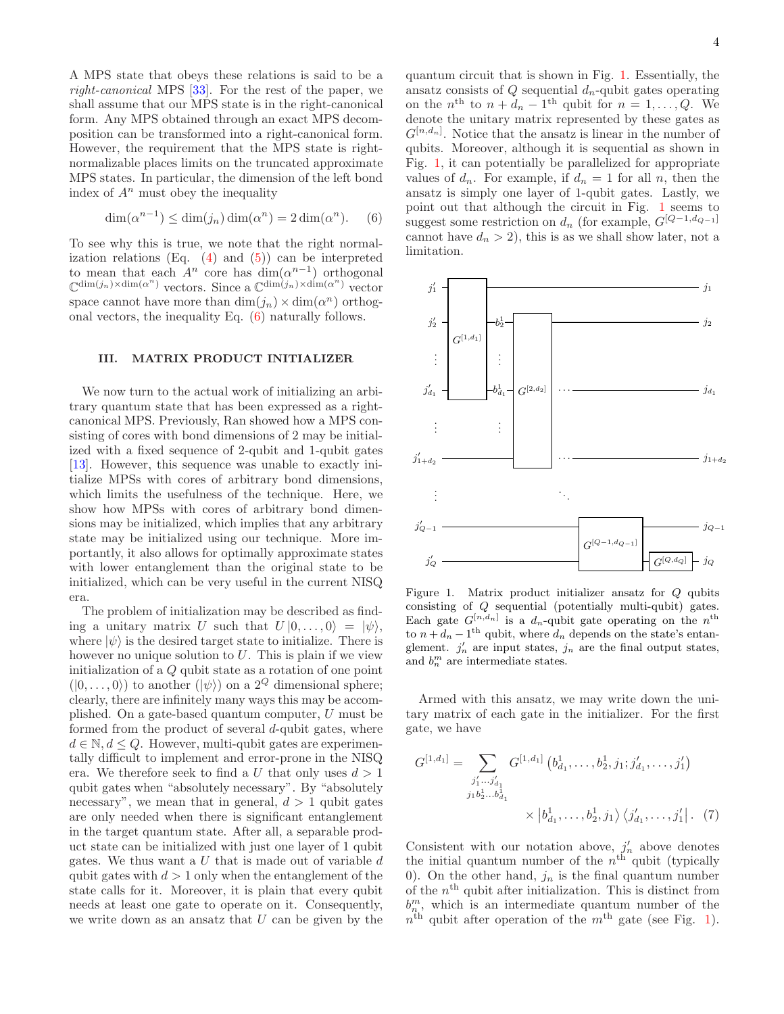A MPS state that obeys these relations is said to be a right-canonical MPS [\[33\]](#page-8-21). For the rest of the paper, we shall assume that our MPS state is in the right-canonical form. Any MPS obtained through an exact MPS decomposition can be transformed into a right-canonical form. However, the requirement that the MPS state is rightnormalizable places limits on the truncated approximate MPS states. In particular, the dimension of the left bond index of  $A^n$  must obey the inequality

<span id="page-3-0"></span>
$$
\dim(\alpha^{n-1}) \le \dim(j_n)\dim(\alpha^n) = 2\dim(\alpha^n). \quad (6)
$$

To see why this is true, we note that the right normalization relations  $(Eq. (4)$  $(Eq. (4)$  and  $(5)$  can be interpreted to mean that each  $A^n$  core has  $\dim(\alpha^{n-1})$  orthogonal  $\mathbb{C}^{\dim(j_n)\times\dim(\alpha^n)}$  vectors. Since a  $\mathbb{C}^{\dim(j_n)\times\dim(\alpha^n)}$  vector space cannot have more than  $\dim(j_n) \times \dim(\alpha^n)$  orthogonal vectors, the inequality Eq. [\(6\)](#page-3-0) naturally follows.

## III. MATRIX PRODUCT INITIALIZER

We now turn to the actual work of initializing an arbitrary quantum state that has been expressed as a rightcanonical MPS. Previously, Ran showed how a MPS consisting of cores with bond dimensions of 2 may be initialized with a fixed sequence of 2-qubit and 1-qubit gates [\[13\]](#page-8-2). However, this sequence was unable to exactly initialize MPSs with cores of arbitrary bond dimensions, which limits the usefulness of the technique. Here, we show how MPSs with cores of arbitrary bond dimensions may be initialized, which implies that any arbitrary state may be initialized using our technique. More importantly, it also allows for optimally approximate states with lower entanglement than the original state to be initialized, which can be very useful in the current NISQ era.

The problem of initialization may be described as finding a unitary matrix U such that  $U |0, \ldots, 0\rangle = |\psi\rangle$ , where  $|\psi\rangle$  is the desired target state to initialize. There is however no unique solution to  $U$ . This is plain if we view initialization of a Q qubit state as a rotation of one point  $(|0,\ldots,0\rangle)$  to another  $(|\psi\rangle)$  on a  $2^Q$  dimensional sphere; clearly, there are infinitely many ways this may be accomplished. On a gate-based quantum computer,  $U$  must be formed from the product of several d-qubit gates, where  $d \in \mathbb{N}, d \leq Q$ . However, multi-qubit gates are experimentally difficult to implement and error-prone in the NISQ era. We therefore seek to find a U that only uses  $d > 1$ qubit gates when "absolutely necessary". By "absolutely necessary", we mean that in general,  $d > 1$  qubit gates are only needed when there is significant entanglement in the target quantum state. After all, a separable product state can be initialized with just one layer of 1 qubit gates. We thus want a  $U$  that is made out of variable  $d$ qubit gates with  $d > 1$  only when the entanglement of the state calls for it. Moreover, it is plain that every qubit needs at least one gate to operate on it. Consequently, we write down as an ansatz that  $U$  can be given by the

quantum circuit that is shown in Fig. [1.](#page-9-1) Essentially, the ansatz consists of  $Q$  sequential  $d_n$ -qubit gates operating on the  $n^{\text{th}}$  to  $n + d_n - 1^{\text{th}}$  qubit for  $n = 1, ..., Q$ . We denote the unitary matrix represented by these gates as  $G^{[n,d_n]}$ . Notice that the ansatz is linear in the number of qubits. Moreover, although it is sequential as shown in Fig. [1,](#page-9-1) it can potentially be parallelized for appropriate values of  $d_n$ . For example, if  $d_n = 1$  for all n, then the ansatz is simply one layer of 1-qubit gates. Lastly, we point out that although the circuit in Fig. [1](#page-9-1) seems to suggest some restriction on  $d_n$  (for example,  $G^{[Q-1,d_{Q-1}]}$ cannot have  $d_n > 2$ , this is as we shall show later, not a limitation.



Figure 1. Matrix product initializer ansatz for Q qubits consisting of Q sequential (potentially multi-qubit) gates. Each gate  $G^{[n,d_n]}$  is a  $d_n$ -qubit gate operating on the  $n^{\text{th}}$ to  $n + d_n - 1$ <sup>th</sup> qubit, where  $d_n$  depends on the state's entanglement.  $j'_n$  are input states,  $j_n$  are the final output states, and  $b_n^m$  are intermediate states.

Armed with this ansatz, we may write down the unitary matrix of each gate in the initializer. For the first gate, we have

<span id="page-3-1"></span>
$$
G^{[1,d_1]} = \sum_{\substack{j'_1 \dots j'_{d_1} \\ j_1 b_2^1 \dots b_{d_1}^1}} G^{[1,d_1]} (b_{d_1}^1, \dots, b_2^1, j_1; j'_{d_1}, \dots, j'_1)
$$

$$
\times |b_{d_1}^1, \dots, b_2^1, j_1 \rangle \langle j'_{d_1}, \dots, j'_1 | . \quad (7)
$$

Consistent with our notation above,  $j'_n$  above denotes the initial quantum number of the  $n<sup>th</sup>$  qubit (typically 0). On the other hand,  $j_n$  is the final quantum number of the  $n<sup>th</sup>$  qubit after initialization. This is distinct from  $b_{n}^{m}$ , which is an intermediate quantum number of the  $n<sup>th</sup>$  qubit after operation of the  $m<sup>th</sup>$  gate (see Fig. [1\)](#page-9-1).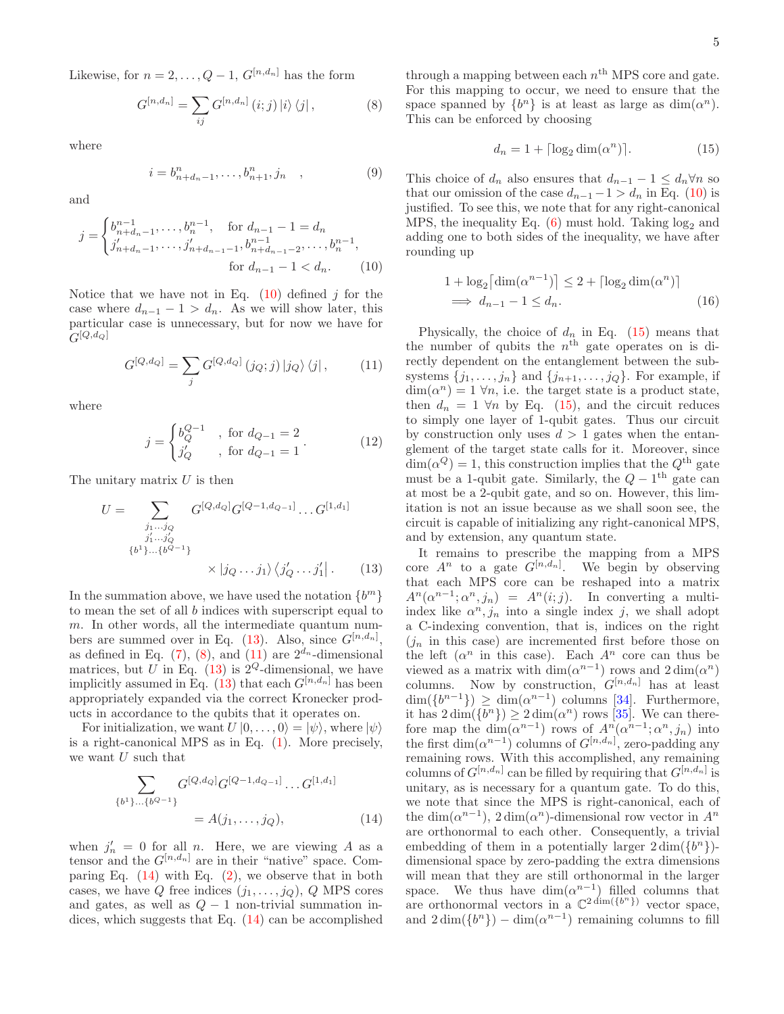Likewise, for  $n = 2, \ldots, Q - 1$ ,  $G^{[n,d_n]}$  has the form

<span id="page-4-2"></span>
$$
G^{[n,d_n]} = \sum_{ij} G^{[n,d_n]} (i;j) |i\rangle \langle j|, \qquad (8)
$$

where

$$
i = b_{n+d_n-1}^n, \dots, b_{n+1}^n, j_n \quad , \tag{9}
$$

and

$$
j = \begin{cases} b_{n+d_n-1}^{n-1}, \dots, b_n^{n-1}, & \text{for } d_{n-1} - 1 = d_n \\ j'_{n+d_n-1}, \dots, j'_{n+d_{n-1}-1}, b_{n+d_{n-1}-2}^{n-1}, \dots, b_n^{n-1}, \\ \text{for } d_{n-1} - 1 < d_n. \end{cases} \tag{10}
$$

Notice that we have not in Eq.  $(10)$  defined j for the case where  $d_{n-1} - 1 > d_n$ . As we will show later, this particular case is unnecessary, but for now we have for  $G^{[Q,d_Q]}$ 

<span id="page-4-3"></span>
$$
G^{[Q,d_Q]} = \sum_j G^{[Q,d_Q]}(j_Q;j) |j_Q\rangle\langle j|,\tag{11}
$$

where

$$
j = \begin{cases} b_Q^{Q-1} & , \text{ for } d_{Q-1} = 2 \\ j'_Q & , \text{ for } d_{Q-1} = 1 \end{cases}.
$$
 (12)

The unitary matrix  $U$  is then

$$
U = \sum_{\substack{j_1...j_Q\\j'_1...j'_Q\\{b^1}^1...{b^{Q-1}}}} G^{[Q,d_Q]}G^{[Q-1,d_{Q-1}]}...G^{[1,d_1]}
$$

$$
\times |j_Q...j_1\rangle \langle j'_Q...j'_1|.
$$
 (13)

In the summation above, we have used the notation  $\{b^m\}$ to mean the set of all b indices with superscript equal to  $m$ . In other words, all the intermediate quantum numbers are summed over in Eq.  $(13)$ . Also, since  $G^{[n,d_n]}$ , as defined in Eq. [\(7\)](#page-3-1), [\(8\)](#page-4-2), and [\(11\)](#page-4-3) are  $2^{d_n}$ -dimensional matrices, but U in Eq. [\(13\)](#page-4-1) is  $2^{\mathcal{Q}}$ -dimensional, we have implicitly assumed in Eq. [\(13\)](#page-4-1) that each  $G^{[n,d_n]}$  has been appropriately expanded via the correct Kronecker products in accordance to the qubits that it operates on.

For initialization, we want  $U |0, \ldots, 0\rangle = |\psi\rangle$ , where  $|\psi\rangle$ is a right-canonical MPS as in Eq. [\(1\)](#page-1-0). More precisely, we want  $U$  such that

<span id="page-4-4"></span>
$$
\sum_{\{b^1\}\dots\{b^{Q-1}\}} G^{[Q,d_Q]} G^{[Q-1,d_{Q-1}]} \dots G^{[1,d_1]}
$$

$$
= A(j_1, \dots, j_Q), \tag{14}
$$

when  $j'_n = 0$  for all *n*. Here, we are viewing *A* as a tensor and the  $G^{[n,d_n]}$  are in their "native" space. Comparing Eq.  $(14)$  with Eq.  $(2)$ , we observe that in both cases, we have Q free indices  $(j_1, \ldots, j_Q)$ , Q MPS cores and gates, as well as  $Q - 1$  non-trivial summation indices, which suggests that Eq. [\(14\)](#page-4-4) can be accomplished

through a mapping between each  $n<sup>th</sup>$  MPS core and gate. For this mapping to occur, we need to ensure that the space spanned by  $\{b^n\}$  is at least as large as  $\dim(\alpha^n)$ . This can be enforced by choosing

<span id="page-4-5"></span>
$$
d_n = 1 + \lceil \log_2 \dim(\alpha^n) \rceil. \tag{15}
$$

This choice of  $d_n$  also ensures that  $d_{n-1} - 1 \leq d_n \forall n$  so that our omission of the case  $d_{n-1} - 1 > d_n$  in Eq. [\(10\)](#page-4-0) is justified. To see this, we note that for any right-canonical MPS, the inequality Eq.  $(6)$  must hold. Taking  $log_2$  and adding one to both sides of the inequality, we have after rounding up

$$
1 + \log_2 \left[ \dim(\alpha^{n-1}) \right] \le 2 + \left[ \log_2 \dim(\alpha^n) \right]
$$
  

$$
\implies d_{n-1} - 1 \le d_n.
$$
 (16)

<span id="page-4-0"></span>Physically, the choice of  $d_n$  in Eq. [\(15\)](#page-4-5) means that the number of qubits the  $n<sup>th</sup>$  gate operates on is directly dependent on the entanglement between the subsystems  $\{j_1, \ldots, j_n\}$  and  $\{j_{n+1}, \ldots, j_Q\}$ . For example, if  $\dim(\alpha^n) = 1 \forall n$ , i.e. the target state is a product state, then  $d_n = 1 \forall n$  by Eq. [\(15\)](#page-4-5), and the circuit reduces to simply one layer of 1-qubit gates. Thus our circuit by construction only uses  $d > 1$  gates when the entanglement of the target state calls for it. Moreover, since  $\dim(\alpha^Q) = 1$ , this construction implies that the  $Q^{\text{th}}$  gate must be a 1-qubit gate. Similarly, the  $Q - 1$ <sup>th</sup> gate can at most be a 2-qubit gate, and so on. However, this limitation is not an issue because as we shall soon see, the circuit is capable of initializing any right-canonical MPS, and by extension, any quantum state.

<span id="page-4-1"></span>It remains to prescribe the mapping from a MPS core  $A^n$  to a gate  $G^{[n,d_n]}$ . We begin by observing that each MPS core can be reshaped into a matrix  $A^n(\alpha^{n-1}; \alpha^n, j_n) = A^n(i; j)$ . In converting a multiindex like  $\alpha^n, j_n$  into a single index j, we shall adopt a C-indexing convention, that is, indices on the right  $(j_n$  in this case) are incremented first before those on the left  $(\alpha^n$  in this case). Each  $A^n$  core can thus be viewed as a matrix with  $\dim(\alpha^{n-1})$  rows and  $2\dim(\alpha^n)$ columns. Now by construction,  $G^{[n,d_n]}$  has at least  $\dim({b^{n-1}}) \geq \dim({\alpha^{n-1}})$  columns [\[34\]](#page-8-22). Furthermore, it has  $2 \dim({b^n}) \geq 2 \dim({a^n})$  rows [\[35\]](#page-8-23). We can therefore map the  $\dim(\alpha^{n-1})$  rows of  $A^n(\alpha^{n-1}; \alpha^n, j_n)$  into the first  $\dim(\alpha^{n-1})$  columns of  $G^{[n,d_n]}$ , zero-padding any remaining rows. With this accomplished, any remaining columns of  $G^{[n,d_n]}$  can be filled by requiring that  $G^{[n,d_n]}$  is unitary, as is necessary for a quantum gate. To do this, we note that since the MPS is right-canonical, each of the dim $(\alpha^{n-1})$ , 2 dim $(\alpha^n)$ -dimensional row vector in  $A^n$ are orthonormal to each other. Consequently, a trivial embedding of them in a potentially larger  $2 \dim({b^n})$ dimensional space by zero-padding the extra dimensions will mean that they are still orthonormal in the larger space. We thus have  $\dim(\alpha^{n-1})$  filled columns that are orthonormal vectors in a  $\mathbb{C}^2$  dim $({b^n})$  vector space, and  $2 \dim({b^n}) - \dim({a^{n-1}})$  remaining columns to fill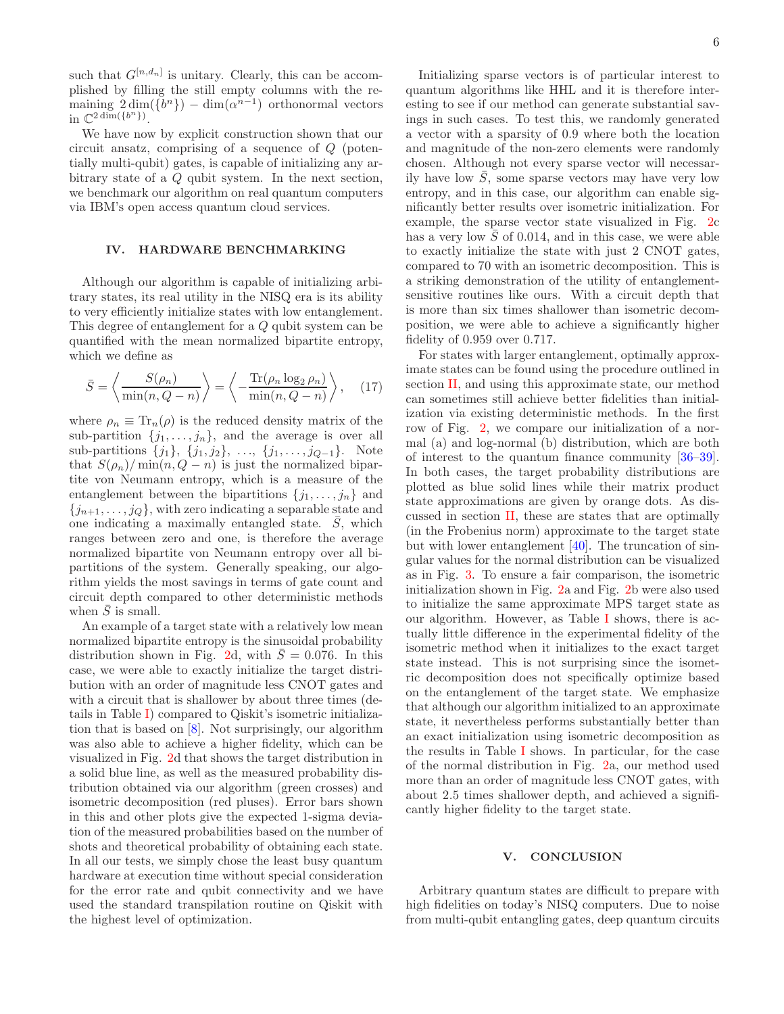such that  $G^{[n,d_n]}$  is unitary. Clearly, this can be accomplished by filling the still empty columns with the remaining  $2 \dim({b^n}) - \dim({a^{n-1}})$  orthonormal vectors in  $\mathbb{C}^{2 \dim({b^n})}$ .

We have now by explicit construction shown that our circuit ansatz, comprising of a sequence of Q (potentially multi-qubit) gates, is capable of initializing any arbitrary state of a Q qubit system. In the next section, we benchmark our algorithm on real quantum computers via IBM's open access quantum cloud services.

### IV. HARDWARE BENCHMARKING

Although our algorithm is capable of initializing arbitrary states, its real utility in the NISQ era is its ability to very efficiently initialize states with low entanglement. This degree of entanglement for a Q qubit system can be quantified with the mean normalized bipartite entropy, which we define as

<span id="page-5-0"></span>
$$
\bar{S} = \left\langle \frac{S(\rho_n)}{\min(n, Q - n)} \right\rangle = \left\langle -\frac{\text{Tr}(\rho_n \log_2 \rho_n)}{\min(n, Q - n)} \right\rangle, \quad (17)
$$

where  $\rho_n \equiv \text{Tr}_n(\rho)$  is the reduced density matrix of the sub-partition  $\{j_1, \ldots, j_n\}$ , and the average is over all sub-partitions  $\{j_1\}, \{j_1, j_2\}, \ldots, \{j_1, \ldots, j_{Q-1}\}.$  Note that  $S(\rho_n)/\min(n, Q - n)$  is just the normalized bipartite von Neumann entropy, which is a measure of the entanglement between the bipartitions  $\{j_1, \ldots, j_n\}$  and  ${j_{n+1}, \ldots, j_Q}$ , with zero indicating a separable state and one indicating a maximally entangled state.  $S$ , which ranges between zero and one, is therefore the average normalized bipartite von Neumann entropy over all bipartitions of the system. Generally speaking, our algorithm yields the most savings in terms of gate count and circuit depth compared to other deterministic methods when  $\bar{S}$  is small.

An example of a target state with a relatively low mean normalized bipartite entropy is the sinusoidal probability distribution shown in Fig. [2d](#page-11-0), with  $\overline{S}=0.076$ . In this case, we were able to exactly initialize the target distribution with an order of magnitude less CNOT gates and with a circuit that is shallower by about three times (details in Table [I\)](#page-10-1) compared to Qiskit's isometric initialization that is based on [\[8](#page-7-7)]. Not surprisingly, our algorithm was also able to achieve a higher fidelity, which can be visualized in Fig. [2d](#page-11-0) that shows the target distribution in a solid blue line, as well as the measured probability distribution obtained via our algorithm (green crosses) and isometric decomposition (red pluses). Error bars shown in this and other plots give the expected 1-sigma deviation of the measured probabilities based on the number of shots and theoretical probability of obtaining each state. In all our tests, we simply chose the least busy quantum hardware at execution time without special consideration for the error rate and qubit connectivity and we have used the standard transpilation routine on Qiskit with the highest level of optimization.

Initializing sparse vectors is of particular interest to quantum algorithms like HHL and it is therefore interesting to see if our method can generate substantial savings in such cases. To test this, we randomly generated a vector with a sparsity of 0.9 where both the location and magnitude of the non-zero elements were randomly chosen. Although not every sparse vector will necessarily have low  $S$ , some sparse vectors may have very low entropy, and in this case, our algorithm can enable significantly better results over isometric initialization. For example, the sparse vector state visualized in Fig. [2c](#page-11-0) has a very low  $\overline{S}$  of 0.014, and in this case, we were able to exactly initialize the state with just 2 CNOT gates, compared to 70 with an isometric decomposition. This is a striking demonstration of the utility of entanglementsensitive routines like ours. With a circuit depth that is more than six times shallower than isometric decomposition, we were able to achieve a significantly higher fidelity of 0.959 over 0.717.

For states with larger entanglement, optimally approximate states can be found using the procedure outlined in section [II,](#page-10-0) and using this approximate state, our method can sometimes still achieve better fidelities than initialization via existing deterministic methods. In the first row of Fig. [2,](#page-11-0) we compare our initialization of a normal (a) and log-normal (b) distribution, which are both of interest to the quantum finance community [\[36](#page-8-24)[–39\]](#page-8-25). In both cases, the target probability distributions are plotted as blue solid lines while their matrix product state approximations are given by orange dots. As discussed in section [II,](#page-10-0) these are states that are optimally (in the Frobenius norm) approximate to the target state but with lower entanglement [\[40\]](#page-8-26). The truncation of singular values for the normal distribution can be visualized as in Fig. [3.](#page-12-1) To ensure a fair comparison, the isometric initialization shown in Fig. [2a](#page-11-0) and Fig. [2b](#page-11-0) were also used to initialize the same approximate MPS target state as our algorithm. However, as Table [I](#page-10-1) shows, there is actually little difference in the experimental fidelity of the isometric method when it initializes to the exact target state instead. This is not surprising since the isometric decomposition does not specifically optimize based on the entanglement of the target state. We emphasize that although our algorithm initialized to an approximate state, it nevertheless performs substantially better than an exact initialization using isometric decomposition as the results in Table [I](#page-10-1) shows. In particular, for the case of the normal distribution in Fig. [2a](#page-11-0), our method used more than an order of magnitude less CNOT gates, with about 2.5 times shallower depth, and achieved a significantly higher fidelity to the target state.

## V. CONCLUSION

Arbitrary quantum states are difficult to prepare with high fidelities on today's NISQ computers. Due to noise from multi-qubit entangling gates, deep quantum circuits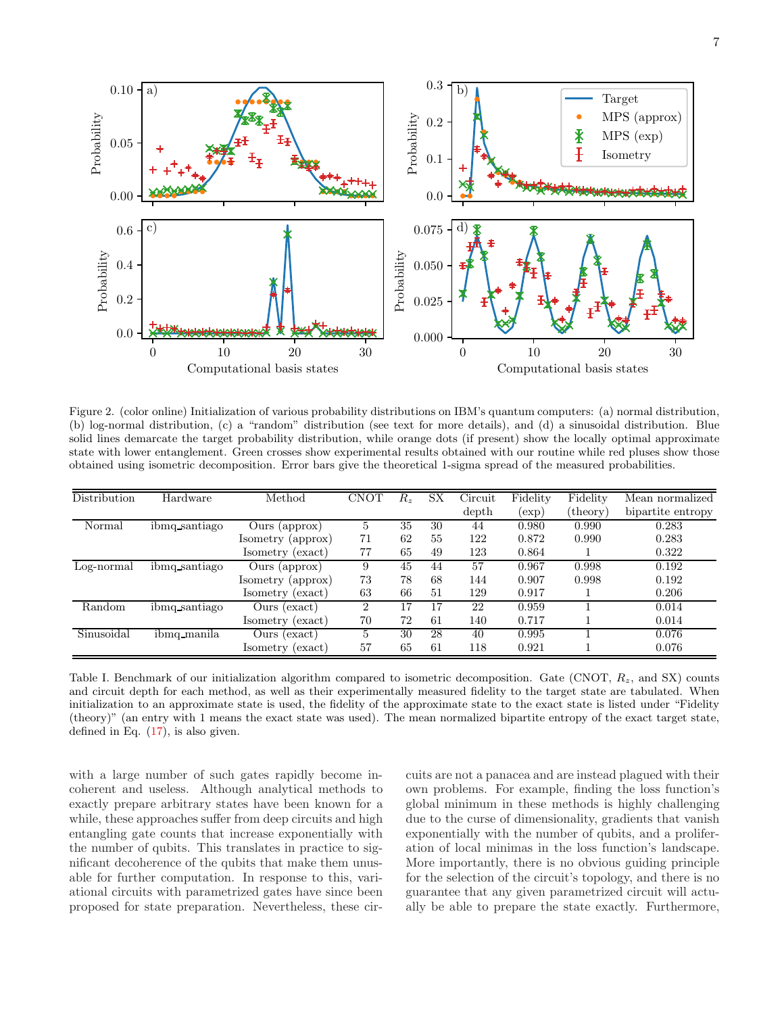

Figure 2. (color online) Initialization of various probability distributions on IBM's quantum computers: (a) normal distribution, (b) log-normal distribution, (c) a "random" distribution (see text for more details), and (d) a sinusoidal distribution. Blue solid lines demarcate the target probability distribution, while orange dots (if present) show the locally optimal approximate state with lower entanglement. Green crosses show experimental results obtained with our routine while red pluses show those obtained using isometric decomposition. Error bars give the theoretical 1-sigma spread of the measured probabilities.

| Distribution | Hardware      | $\operatorname*{Method}% \left( \mathcal{M}\right) \times\mathcal{M}\left( \mathcal{M}\right)$ | CNOT | $R_z$ | SX | Circuit | Fidelity | Fidelity      | Mean normalized   |
|--------------|---------------|------------------------------------------------------------------------------------------------|------|-------|----|---------|----------|---------------|-------------------|
|              |               |                                                                                                |      |       |    | depth   | (exp)    | $^{(theory)}$ | bipartite entropy |
| Normal       | ibmq_santiago | Ours (approx)                                                                                  |      | 35    | 30 | 44      | 0.980    | 0.990         | 0.283             |
|              |               | Isometry (approx)                                                                              | 71   | 62    | 55 | 122     | 0.872    | 0.990         | 0.283             |
|              |               | Isometry (exact)                                                                               | 77   | 65    | 49 | 123     | 0.864    |               | 0.322             |
| Log-normal   | ibmq santiago | Ours (approx)                                                                                  | 9    | 45    | 44 | 57      | 0.967    | 0.998         | 0.192             |
|              |               | Isometry (approx)                                                                              | 73   | 78    | 68 | 144     | 0.907    | 0.998         | 0.192             |
|              |               | Isometry (exact)                                                                               | 63   | 66    | 51 | 129     | 0.917    |               | 0.206             |
| Random       | ibmq santiago | Ours (exact)                                                                                   | 2    | 17    | 17 | 22      | 0.959    |               | 0.014             |
|              |               | Isometry (exact)                                                                               | 70   | 72    | 61 | 140     | 0.717    |               | 0.014             |
| Sinusoidal   | ibmq_manila   | Ours (exact)                                                                                   | 5    | 30    | 28 | 40      | 0.995    |               | 0.076             |
|              |               | Isometry (exact)                                                                               | 57   | 65    | 61 | 118     | 0.921    |               | 0.076             |

Table I. Benchmark of our initialization algorithm compared to isometric decomposition. Gate (CNOT,  $R<sub>z</sub>$ , and SX) counts and circuit depth for each method, as well as their experimentally measured fidelity to the target state are tabulated. When initialization to an approximate state is used, the fidelity of the approximate state to the exact state is listed under "Fidelity (theory)" (an entry with 1 means the exact state was used). The mean normalized bipartite entropy of the exact target state, defined in Eq.  $(17)$ , is also given.

with a large number of such gates rapidly become incoherent and useless. Although analytical methods to exactly prepare arbitrary states have been known for a while, these approaches suffer from deep circuits and high entangling gate counts that increase exponentially with the number of qubits. This translates in practice to significant decoherence of the qubits that make them unusable for further computation. In response to this, variational circuits with parametrized gates have since been proposed for state preparation. Nevertheless, these circuits are not a panacea and are instead plagued with their own problems. For example, finding the loss function's global minimum in these methods is highly challenging due to the curse of dimensionality, gradients that vanish exponentially with the number of qubits, and a proliferation of local minimas in the loss function's landscape. More importantly, there is no obvious guiding principle for the selection of the circuit's topology, and there is no guarantee that any given parametrized circuit will actually be able to prepare the state exactly. Furthermore,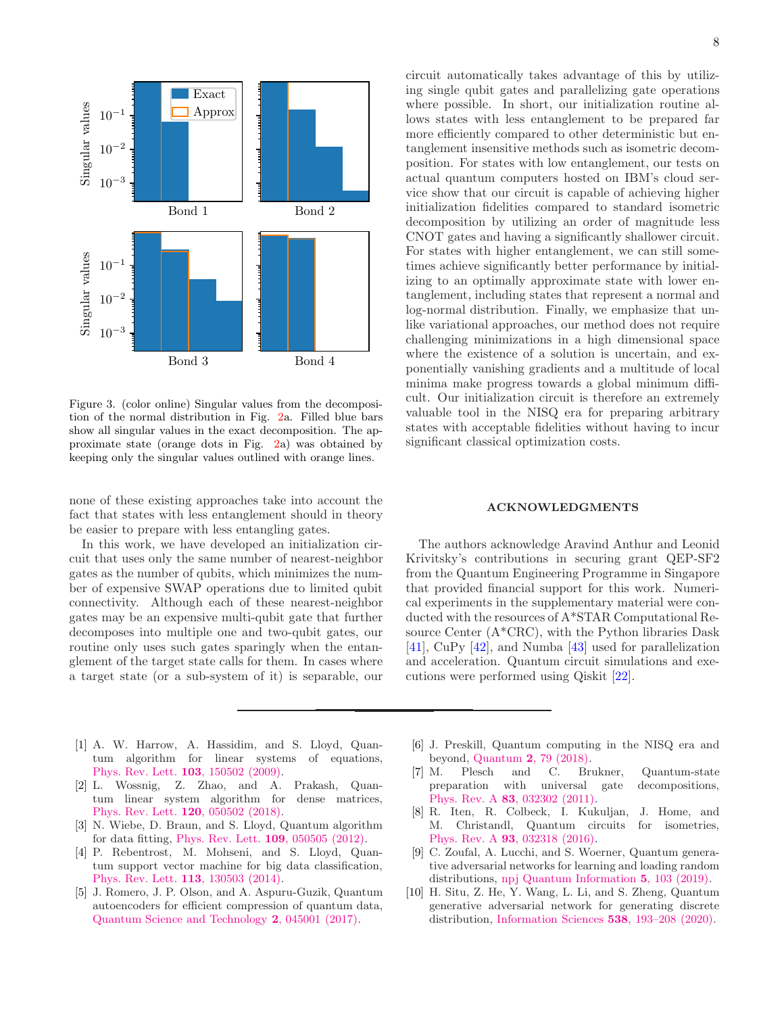

Figure 3. (color online) Singular values from the decomposition of the normal distribution in Fig. [2a](#page-11-0). Filled blue bars show all singular values in the exact decomposition. The approximate state (orange dots in Fig. [2a](#page-11-0)) was obtained by keeping only the singular values outlined with orange lines.

none of these existing approaches take into account the fact that states with less entanglement should in theory be easier to prepare with less entangling gates.

In this work, we have developed an initialization circuit that uses only the same number of nearest-neighbor gates as the number of qubits, which minimizes the number of expensive SWAP operations due to limited qubit connectivity. Although each of these nearest-neighbor gates may be an expensive multi-qubit gate that further decomposes into multiple one and two-qubit gates, our routine only uses such gates sparingly when the entanglement of the target state calls for them. In cases where a target state (or a sub-system of it) is separable, our

circuit automatically takes advantage of this by utilizing single qubit gates and parallelizing gate operations where possible. In short, our initialization routine allows states with less entanglement to be prepared far more efficiently compared to other deterministic but entanglement insensitive methods such as isometric decomposition. For states with low entanglement, our tests on actual quantum computers hosted on IBM's cloud service show that our circuit is capable of achieving higher initialization fidelities compared to standard isometric decomposition by utilizing an order of magnitude less CNOT gates and having a significantly shallower circuit. For states with higher entanglement, we can still sometimes achieve significantly better performance by initializing to an optimally approximate state with lower entanglement, including states that represent a normal and log-normal distribution. Finally, we emphasize that unlike variational approaches, our method does not require challenging minimizations in a high dimensional space where the existence of a solution is uncertain, and exponentially vanishing gradients and a multitude of local minima make progress towards a global minimum difficult. Our initialization circuit is therefore an extremely valuable tool in the NISQ era for preparing arbitrary states with acceptable fidelities without having to incur significant classical optimization costs.

## ACKNOWLEDGMENTS

The authors acknowledge Aravind Anthur and Leonid Krivitsky's contributions in securing grant QEP-SF2 from the Quantum Engineering Programme in Singapore that provided financial support for this work. Numerical experiments in the supplementary material were conducted with the resources of A\*STAR Computational Resource Center (A\*CRC), with the Python libraries Dask [\[41\]](#page-14-3), CuPy [\[42\]](#page-14-4), and Numba [\[43](#page-14-5)] used for parallelization and acceleration. Quantum circuit simulations and executions were performed using Qiskit [\[22\]](#page-14-1).

- <span id="page-7-0"></span>[1] A. W. Harrow, A. Hassidim, and S. Lloyd, Quantum algorithm for linear systems of equations, [Phys. Rev. Lett.](https://doi.org/10.1103/PhysRevLett.103.150502) 103, 150502 (2009).
- <span id="page-7-1"></span>[2] L. Wossnig, Z. Zhao, and A. Prakash, Quantum linear system algorithm for dense matrices, [Phys. Rev. Lett.](https://doi.org/10.1103/PhysRevLett.120.050502) 120, 050502 (2018).
- <span id="page-7-2"></span>[3] N. Wiebe, D. Braun, and S. Lloyd, Quantum algorithm for data fitting, [Phys. Rev. Lett.](https://doi.org/10.1103/PhysRevLett.109.050505) 109, 050505 (2012).
- <span id="page-7-3"></span>[4] P. Rebentrost, M. Mohseni, and S. Lloyd, Quantum support vector machine for big data classification, [Phys. Rev. Lett.](https://doi.org/10.1103/PhysRevLett.113.130503) 113, 130503 (2014).
- <span id="page-7-4"></span>[5] J. Romero, J. P. Olson, and A. Aspuru-Guzik, Quantum autoencoders for efficient compression of quantum data, [Quantum Science and Technology](https://doi.org/10.1088/2058-9565/aa8072) 2, 045001 (2017).
- <span id="page-7-5"></span>[6] J. Preskill, Quantum computing in the NISQ era and beyond, Quantum 2[, 79 \(2018\).](https://doi.org/10.22331/q-2018-08-06-79)
- <span id="page-7-6"></span>[7] M. Plesch and C. Brukner, Quantum-state preparation with universal gate decompositions, Phys. Rev. A 83[, 032302 \(2011\).](https://doi.org/10.1103/PhysRevA.83.032302)
- <span id="page-7-7"></span>[8] R. Iten, R. Colbeck, I. Kukuljan, J. Home, and M. Christandl, Quantum circuits for isometries, Phys. Rev. A 93[, 032318 \(2016\).](https://doi.org/10.1103/PhysRevA.93.032318)
- <span id="page-7-8"></span>[9] C. Zoufal, A. Lucchi, and S. Woerner, Quantum generative adversarial networks for learning and loading random distributions, [npj Quantum Information](https://doi.org/10.1038/s41534-019-0223-2) 5, 103 (2019).
- <span id="page-7-9"></span>[10] H. Situ, Z. He, Y. Wang, L. Li, and S. Zheng, Quantum generative adversarial network for generating discrete distribution, [Information Sciences](https://doi.org/10.1016/j.ins.2020.05.127) 538, 193–208 (2020).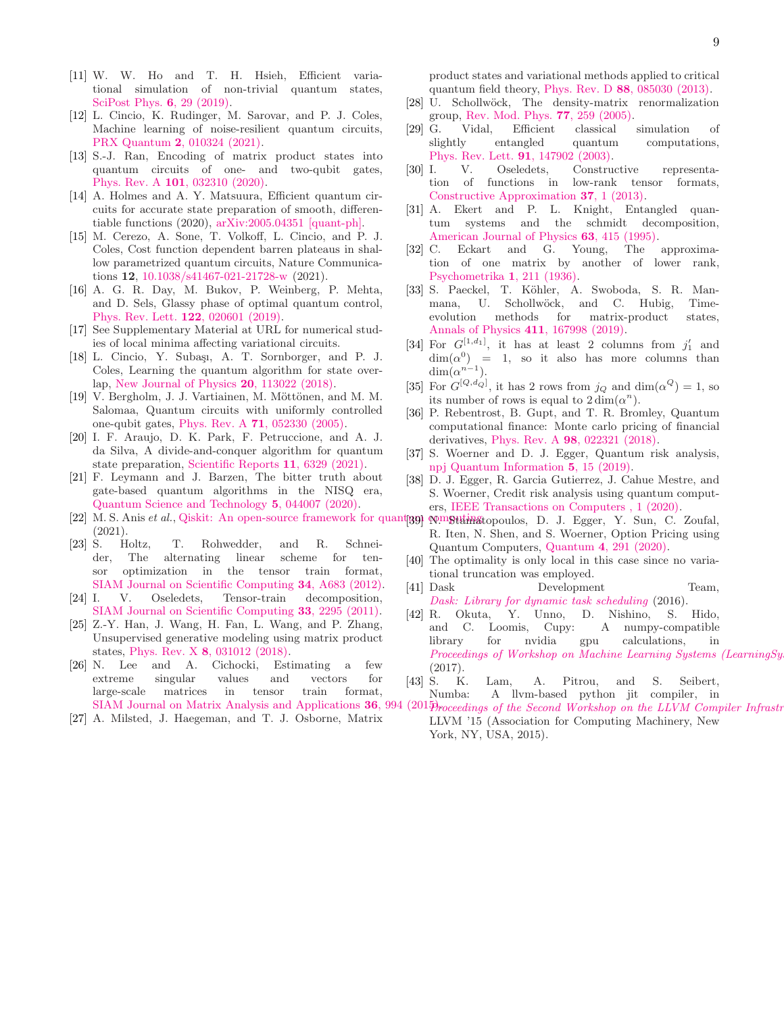- <span id="page-8-0"></span>[11] W. W. Ho and T. H. Hsieh, Efficient variational simulation of non-trivial quantum states, [SciPost Phys.](https://doi.org/10.21468/SciPostPhys.6.3.029) 6, 29 (2019).
- <span id="page-8-1"></span>[12] L. Cincio, K. Rudinger, M. Sarovar, and P. J. Coles, Machine learning of noise-resilient quantum circuits, PRX Quantum 2[, 010324 \(2021\).](https://doi.org/10.1103/PRXQuantum.2.010324)
- <span id="page-8-2"></span>[13] S.-J. Ran, Encoding of matrix product states into quantum circuits of one- and two-qubit gates, Phys. Rev. A 101[, 032310 \(2020\).](https://doi.org/10.1103/PhysRevA.101.032310)
- <span id="page-8-3"></span>[14] A. Holmes and A. Y. Matsuura, Efficient quantum circuits for accurate state preparation of smooth, differentiable functions (2020), [arXiv:2005.04351 \[quant-ph\].](https://arxiv.org/abs/2005.04351)
- <span id="page-8-4"></span>[15] M. Cerezo, A. Sone, T. Volkoff, L. Cincio, and P. J. Coles, Cost function dependent barren plateaus in shallow parametrized quantum circuits, Nature Communications 12, [10.1038/s41467-021-21728-w](https://doi.org/10.1038/s41467-021-21728-w) (2021).
- <span id="page-8-5"></span>[16] A. G. R. Day, M. Bukov, P. Weinberg, P. Mehta, and D. Sels, Glassy phase of optimal quantum control, [Phys. Rev. Lett.](https://doi.org/10.1103/PhysRevLett.122.020601) 122, 020601 (2019).
- <span id="page-8-6"></span>[17] See Supplementary Material at URL for numerical studies of local minima affecting variational circuits.
- <span id="page-8-7"></span>[18] L. Cincio, Y. Subaşı, A. T. Sornborger, and P. J. Coles, Learning the quantum algorithm for state overlap, [New Journal of Physics](https://doi.org/10.1088/1367-2630/aae94a) 20, 113022 (2018).
- <span id="page-8-8"></span>[19] V. Bergholm, J. J. Vartiainen, M. Möttönen, and M. M. Salomaa, Quantum circuits with uniformly controlled one-qubit gates, Phys. Rev. A 71[, 052330 \(2005\).](https://doi.org/10.1103/PhysRevA.71.052330)
- <span id="page-8-9"></span>[20] I. F. Araujo, D. K. Park, F. Petruccione, and A. J. da Silva, A divide-and-conquer algorithm for quantum state preparation, [Scientific Reports](https://doi.org/10.1038/s41598-021-85474-1) 11, 6329 (2021).
- <span id="page-8-10"></span>[21] F. Leymann and J. Barzen, The bitter truth about gate-based quantum algorithms in the NISQ era, [Quantum Science and Technology](https://doi.org/10.1088/2058-9565/abae7d) 5, 044007 (2020).
- [22] M. S. Anis *et al.*, Qiskit: An open-source framework for quant<sub>1991</sub> pomguting topoulos, D. J. Egger, Y. Sun, C. Zoufal, (2021).
- <span id="page-8-11"></span>[23] S. Holtz, T. Rohwedder, and R. Schneider, The alternating linear scheme for tensor optimization in the tensor train format, [SIAM Journal on Scientific Computing](https://doi.org/10.1137/100818893) 34, A683 (2012).
- <span id="page-8-12"></span>[24] I. V. Oseledets, Tensor-train decomposition, [SIAM Journal on Scientific Computing](https://doi.org/10.1137/090752286) 33, 2295 (2011).
- <span id="page-8-13"></span>[25] Z.-Y. Han, J. Wang, H. Fan, L. Wang, and P. Zhang, Unsupervised generative modeling using matrix product states, Phys. Rev. X 8[, 031012 \(2018\).](https://doi.org/10.1103/PhysRevX.8.031012)
- <span id="page-8-14"></span>[26] N. Lee and A. Cichocki, Estimating a few extreme singular values and vectors for large-scale matrices in tensor train format,
- <span id="page-8-15"></span>[27] A. Milsted, J. Haegeman, and T. J. Osborne, Matrix

product states and variational methods applied to critical quantum field theory, Phys. Rev. D 88[, 085030 \(2013\).](https://doi.org/10.1103/PhysRevD.88.085030)

- <span id="page-8-16"></span>[28] U. Schollwöck, The density-matrix renormalization group, [Rev. Mod. Phys.](https://doi.org/10.1103/RevModPhys.77.259) 77, 259 (2005).
- <span id="page-8-17"></span>[29] G. Vidal, Efficient classical simulation of entangled quantum computations, [Phys. Rev. Lett.](https://doi.org/10.1103/PhysRevLett.91.147902) 91, 147902 (2003).
- <span id="page-8-18"></span>[30] I. V. Oseledets, Constructive representation of functions in low-rank tensor formats, [Constructive Approximation](https://doi.org/10.1007/s00365-012-9175-x) 37, 1 (2013).
- <span id="page-8-19"></span>[31] A. Ekert and P. L. Knight, Entangled quantum systems and the schmidt decomposition, [American Journal of Physics](https://doi.org/10.1119/1.17904) 63, 415 (1995).
- <span id="page-8-20"></span>[32] C. Eckart and G. Young, The approximation of one matrix by another of lower rank, [Psychometrika](https://doi.org/10.1007/BF02288367) 1, 211 (1936).
- <span id="page-8-21"></span>[33] S. Paeckel, T. Köhler, A. Swoboda, S. R. Manmana, U. Schollwöck, and C. Hubig, Timeevolution methods for matrix-product states, [Annals of Physics](https://doi.org/https://doi.org/10.1016/j.aop.2019.167998) 411, 167998 (2019).
- <span id="page-8-22"></span>[34] For  $G^{[1,d_1]}$ , it has at least 2 columns from  $j'_1$  and  $\dim(\alpha^0)$  = 1, so it also has more columns than  $\dim(\alpha^{n-1}).$
- <span id="page-8-23"></span>[35] For  $G^{[Q,d_Q]}$ , it has 2 rows from  $j_Q$  and  $\dim(\alpha^Q) = 1$ , so its number of rows is equal to  $2 \dim(\alpha^n)$ .
- <span id="page-8-24"></span>[36] P. Rebentrost, B. Gupt, and T. R. Bromley, Quantum computational finance: Monte carlo pricing of financial derivatives, Phys. Rev. A 98[, 022321 \(2018\).](https://doi.org/10.1103/PhysRevA.98.022321)
- [37] S. Woerner and D. J. Egger, Quantum risk analysis, [npj Quantum Information](https://doi.org/10.1038/s41534-019-0130-6) 5, 15 (2019).
- [38] D. J. Egger, R. Garcia Gutierrez, J. Cahue Mestre, and S. Woerner, Credit risk analysis using quantum computers, [IEEE Transactions on Computers , 1 \(2020\).](https://doi.org/10.1109/TC.2020.3038063)
- <span id="page-8-25"></span>R. Iten, N. Shen, and S. Woerner, Option Pricing using Quantum Computers, Quantum 4[, 291 \(2020\).](https://doi.org/10.22331/q-2020-07-06-291)
- <span id="page-8-26"></span>[40] The optimality is only local in this case since no variational truncation was employed.
- [41] Dask Development Team, *[Dask: Library for dynamic task scheduling](https://dask.org)* (2016).
- [42] R. Okuta, Y. Unno, D. Nishino, S. Hido, and C. Loomis, Cupy: A numpy-compatible library for nvidia gpu calculations, in *Proceedings of Workshop on Machine Learning Systems (Learning Systems Annual Information Proceedings* (2017).
- [43] S. K. Lam, A. Pitrou, and S. Seibert, Numba: A llvm-based python jit compiler, in
- [SIAM Journal on Matrix Analysis and Applications](https://doi.org/10.1137/140983410) 36, 994 (2015)*roceedings of the Second Workshop on the LLVM Compiler Infrastr* LLVM '15 (Association for Computing Machinery, New York, NY, USA, 2015).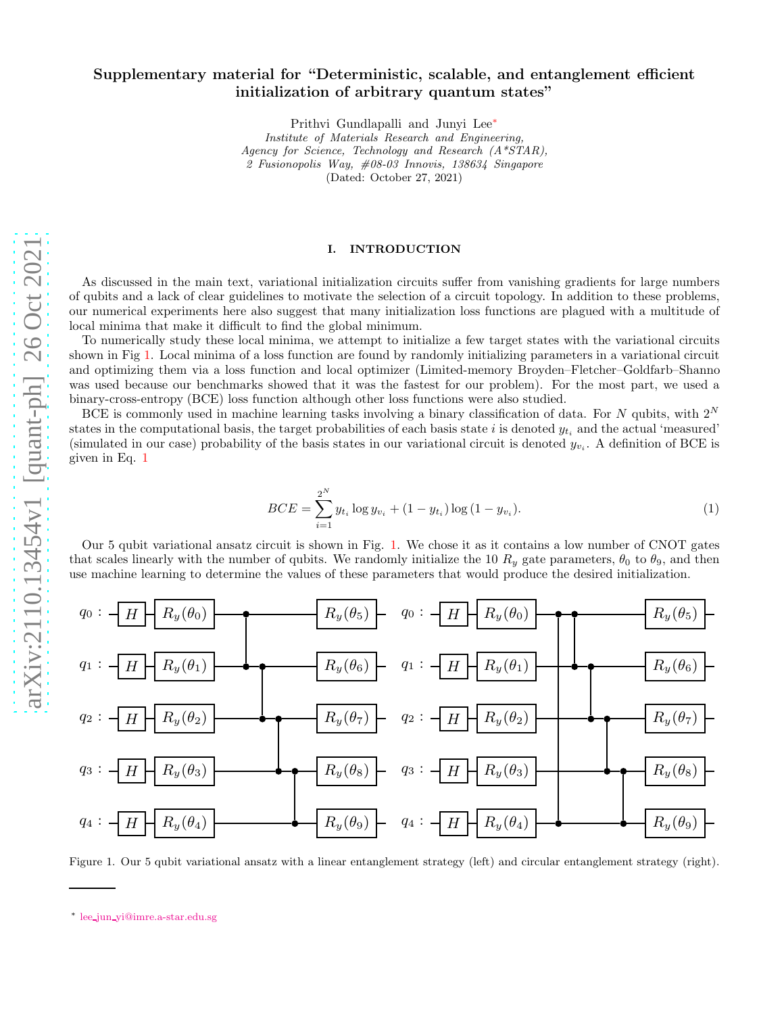# Supplementary material for "Deterministic, scalable, and entanglement efficient initialization of arbitrary quantum states"

Prithvi Gundlapalli and Junyi Lee[∗](#page-9-0)

*Institute of Materials Research and Engineering, Agency for Science, Technology and Research (A\*STAR), 2 Fusionopolis Way, #08-03 Innovis, 138634 Singapore* (Dated: October 27, 2021)

### I. INTRODUCTION

As discussed in the main text, variational initialization circuits suffer from vanishing gradients for large numbers of qubits and a lack of clear guidelines to motivate the selection of a circuit topology. In addition to these problems, our numerical experiments here also suggest that many initialization loss functions are plagued with a multitude of local minima that make it difficult to find the global minimum.

To numerically study these local minima, we attempt to initialize a few target states with the variational circuits shown in Fig [1.](#page-9-1) Local minima of a loss function are found by randomly initializing parameters in a variational circuit and optimizing them via a loss function and local optimizer (Limited-memory Broyden–Fletcher–Goldfarb–Shanno was used because our benchmarks showed that it was the fastest for our problem). For the most part, we used a binary-cross-entropy (BCE) loss function although other loss functions were also studied.

BCE is commonly used in machine learning tasks involving a binary classification of data. For N qubits, with  $2^N$ states in the computational basis, the target probabilities of each basis state i is denoted  $y_{t_i}$  and the actual 'measured' (simulated in our case) probability of the basis states in our variational circuit is denoted  $y_{v_i}$ . A definition of BCE is given in Eq. [1](#page-9-2)

<span id="page-9-2"></span>
$$
BCE = \sum_{i=1}^{2^N} y_{t_i} \log y_{v_i} + (1 - y_{t_i}) \log (1 - y_{v_i}).
$$
\n(1)

Our 5 qubit variational ansatz circuit is shown in Fig. [1.](#page-9-1) We chose it as it contains a low number of CNOT gates that scales linearly with the number of qubits. We randomly initialize the 10  $R_y$  gate parameters,  $\theta_0$  to  $\theta_9$ , and then use machine learning to determine the values of these parameters that would produce the desired initialization.



<span id="page-9-1"></span>Figure 1. Our 5 qubit variational ansatz with a linear entanglement strategy (left) and circular entanglement strategy (right).

<span id="page-9-0"></span><sup>∗</sup> lee jun [yi@imre.a-star.edu.sg](mailto:lee_jun_yi@imre.a-star.edu.sg)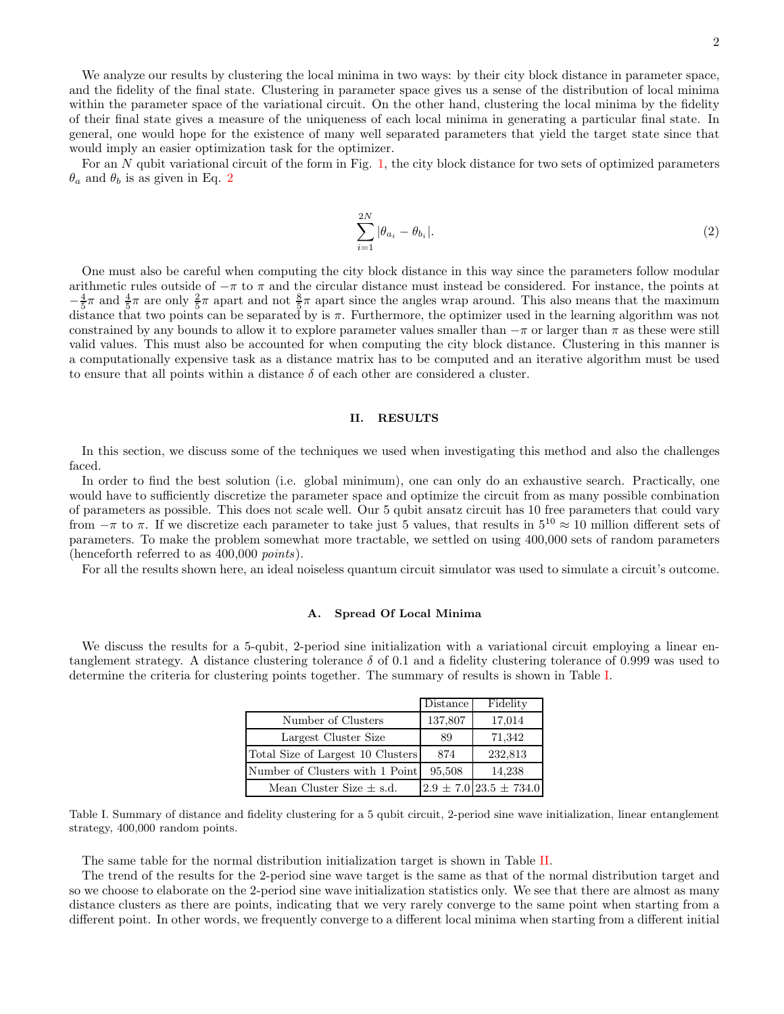We analyze our results by clustering the local minima in two ways: by their city block distance in parameter space, and the fidelity of the final state. Clustering in parameter space gives us a sense of the distribution of local minima within the parameter space of the variational circuit. On the other hand, clustering the local minima by the fidelity of their final state gives a measure of the uniqueness of each local minima in generating a particular final state. In general, one would hope for the existence of many well separated parameters that yield the target state since that would imply an easier optimization task for the optimizer.

For an  $N$  qubit variational circuit of the form in Fig. [1,](#page-9-1) the city block distance for two sets of optimized parameters  $\theta_a$  and  $\theta_b$  is as given in Eq. [2](#page-10-2)

<span id="page-10-2"></span>
$$
\sum_{i=1}^{2N} |\theta_{a_i} - \theta_{b_i}|.
$$
 (2)

One must also be careful when computing the city block distance in this way since the parameters follow modular arithmetic rules outside of  $-\pi$  to  $\pi$  and the circular distance must instead be considered. For instance, the points at  $-\frac{4}{5}\pi$  and  $\frac{4}{5}\pi$  are only  $\frac{2}{5}\pi$  apart and not  $\frac{8}{5}\pi$  apart since the angles wrap around. This also means that the maximum distance that two points can be separated by is  $\pi$ . Furthermore, the optimizer used in the learning algorithm was not constrained by any bounds to allow it to explore parameter values smaller than  $-\pi$  or larger than  $\pi$  as these were still valid values. This must also be accounted for when computing the city block distance. Clustering in this manner is a computationally expensive task as a distance matrix has to be computed and an iterative algorithm must be used to ensure that all points within a distance  $\delta$  of each other are considered a cluster.

#### II. RESULTS

In this section, we discuss some of the techniques we used when investigating this method and also the challenges faced.

In order to find the best solution (i.e. global minimum), one can only do an exhaustive search. Practically, one would have to sufficiently discretize the parameter space and optimize the circuit from as many possible combination of parameters as possible. This does not scale well. Our 5 qubit ansatz circuit has 10 free parameters that could vary from  $-\pi$  to  $\pi$ . If we discretize each parameter to take just 5 values, that results in  $5^{10} \approx 10$  million different sets of parameters. To make the problem somewhat more tractable, we settled on using 400,000 sets of random parameters (henceforth referred to as 400,000 points).

For all the results shown here, an ideal noiseless quantum circuit simulator was used to simulate a circuit's outcome.

### <span id="page-10-0"></span>A. Spread Of Local Minima

We discuss the results for a 5-qubit, 2-period sine initialization with a variational circuit employing a linear entanglement strategy. A distance clustering tolerance  $\delta$  of 0.1 and a fidelity clustering tolerance of 0.999 was used to determine the criteria for clustering points together. The summary of results is shown in Table [I.](#page-10-1)

|                                   | Distance | Fidelity                       |
|-----------------------------------|----------|--------------------------------|
| Number of Clusters                | 137,807  | 17,014                         |
| Largest Cluster Size              | 89       | 71,342                         |
| Total Size of Largest 10 Clusters | 874      | 232,813                        |
| Number of Clusters with 1 Point   | 95,508   | 14,238                         |
| Mean Cluster Size $\pm$ s.d.      |          | $2.9 \pm 7.0$ 23.5 $\pm$ 734.0 |

<span id="page-10-1"></span>Table I. Summary of distance and fidelity clustering for a 5 qubit circuit, 2-period sine wave initialization, linear entanglement strategy, 400,000 random points.

The same table for the normal distribution initialization target is shown in Table [II.](#page-11-1)

The trend of the results for the 2-period sine wave target is the same as that of the normal distribution target and so we choose to elaborate on the 2-period sine wave initialization statistics only. We see that there are almost as many distance clusters as there are points, indicating that we very rarely converge to the same point when starting from a different point. In other words, we frequently converge to a different local minima when starting from a different initial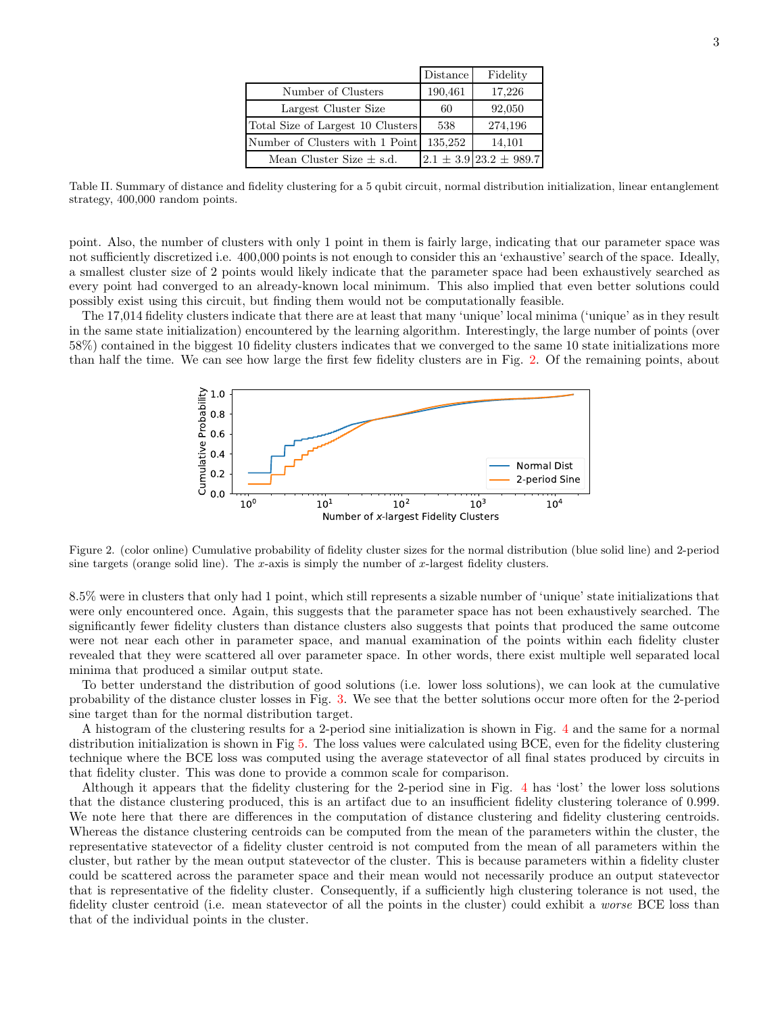|                                   | Distance | Fidelity                       |
|-----------------------------------|----------|--------------------------------|
| Number of Clusters                | 190,461  | 17,226                         |
| Largest Cluster Size              | 60       | 92,050                         |
| Total Size of Largest 10 Clusters | 538      | 274,196                        |
| Number of Clusters with 1 Point   | 135,252  | 14,101                         |
| Mean Cluster Size $\pm$ s.d.      |          | $2.1 \pm 3.9$ 23.2 $\pm$ 989.7 |

<span id="page-11-1"></span>Table II. Summary of distance and fidelity clustering for a 5 qubit circuit, normal distribution initialization, linear entanglement strategy, 400,000 random points.

point. Also, the number of clusters with only 1 point in them is fairly large, indicating that our parameter space was not sufficiently discretized i.e. 400,000 points is not enough to consider this an 'exhaustive' search of the space. Ideally, a smallest cluster size of 2 points would likely indicate that the parameter space had been exhaustively searched as every point had converged to an already-known local minimum. This also implied that even better solutions could possibly exist using this circuit, but finding them would not be computationally feasible.

The 17,014 fidelity clusters indicate that there are at least that many 'unique' local minima ('unique' as in they result in the same state initialization) encountered by the learning algorithm. Interestingly, the large number of points (over 58%) contained in the biggest 10 fidelity clusters indicates that we converged to the same 10 state initializations more than half the time. We can see how large the first few fidelity clusters are in Fig. [2.](#page-11-0) Of the remaining points, about



<span id="page-11-0"></span>Figure 2. (color online) Cumulative probability of fidelity cluster sizes for the normal distribution (blue solid line) and 2-period sine targets (orange solid line). The x-axis is simply the number of  $x$ -largest fidelity clusters.

8.5% were in clusters that only had 1 point, which still represents a sizable number of 'unique' state initializations that were only encountered once. Again, this suggests that the parameter space has not been exhaustively searched. The significantly fewer fidelity clusters than distance clusters also suggests that points that produced the same outcome were not near each other in parameter space, and manual examination of the points within each fidelity cluster revealed that they were scattered all over parameter space. In other words, there exist multiple well separated local minima that produced a similar output state.

To better understand the distribution of good solutions (i.e. lower loss solutions), we can look at the cumulative probability of the distance cluster losses in Fig. [3.](#page-12-1) We see that the better solutions occur more often for the 2-period sine target than for the normal distribution target.

A histogram of the clustering results for a 2-period sine initialization is shown in Fig. [4](#page-12-2) and the same for a normal distribution initialization is shown in Fig [5.](#page-13-0) The loss values were calculated using BCE, even for the fidelity clustering technique where the BCE loss was computed using the average statevector of all final states produced by circuits in that fidelity cluster. This was done to provide a common scale for comparison.

Although it appears that the fidelity clustering for the 2-period sine in Fig. [4](#page-12-2) has 'lost' the lower loss solutions that the distance clustering produced, this is an artifact due to an insufficient fidelity clustering tolerance of 0.999. We note here that there are differences in the computation of distance clustering and fidelity clustering centroids. Whereas the distance clustering centroids can be computed from the mean of the parameters within the cluster, the representative statevector of a fidelity cluster centroid is not computed from the mean of all parameters within the cluster, but rather by the mean output statevector of the cluster. This is because parameters within a fidelity cluster could be scattered across the parameter space and their mean would not necessarily produce an output statevector that is representative of the fidelity cluster. Consequently, if a sufficiently high clustering tolerance is not used, the fidelity cluster centroid (i.e. mean statevector of all the points in the cluster) could exhibit a *worse* BCE loss than that of the individual points in the cluster.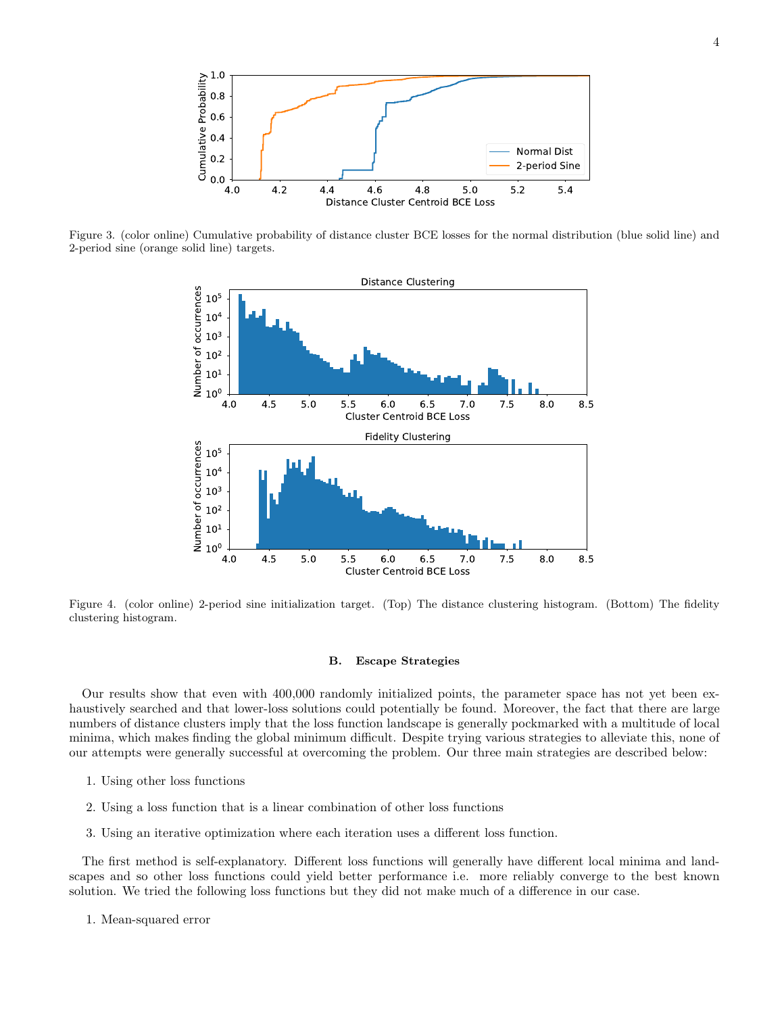

<span id="page-12-1"></span>Figure 3. (color online) Cumulative probability of distance cluster BCE losses for the normal distribution (blue solid line) and 2-period sine (orange solid line) targets.



<span id="page-12-2"></span>Figure 4. (color online) 2-period sine initialization target. (Top) The distance clustering histogram. (Bottom) The fidelity clustering histogram.

### <span id="page-12-0"></span>B. Escape Strategies

Our results show that even with 400,000 randomly initialized points, the parameter space has not yet been exhaustively searched and that lower-loss solutions could potentially be found. Moreover, the fact that there are large numbers of distance clusters imply that the loss function landscape is generally pockmarked with a multitude of local minima, which makes finding the global minimum difficult. Despite trying various strategies to alleviate this, none of our attempts were generally successful at overcoming the problem. Our three main strategies are described below:

- 1. Using other loss functions
- 2. Using a loss function that is a linear combination of other loss functions
- 3. Using an iterative optimization where each iteration uses a different loss function.

The first method is self-explanatory. Different loss functions will generally have different local minima and landscapes and so other loss functions could yield better performance i.e. more reliably converge to the best known solution. We tried the following loss functions but they did not make much of a difference in our case.

1. Mean-squared error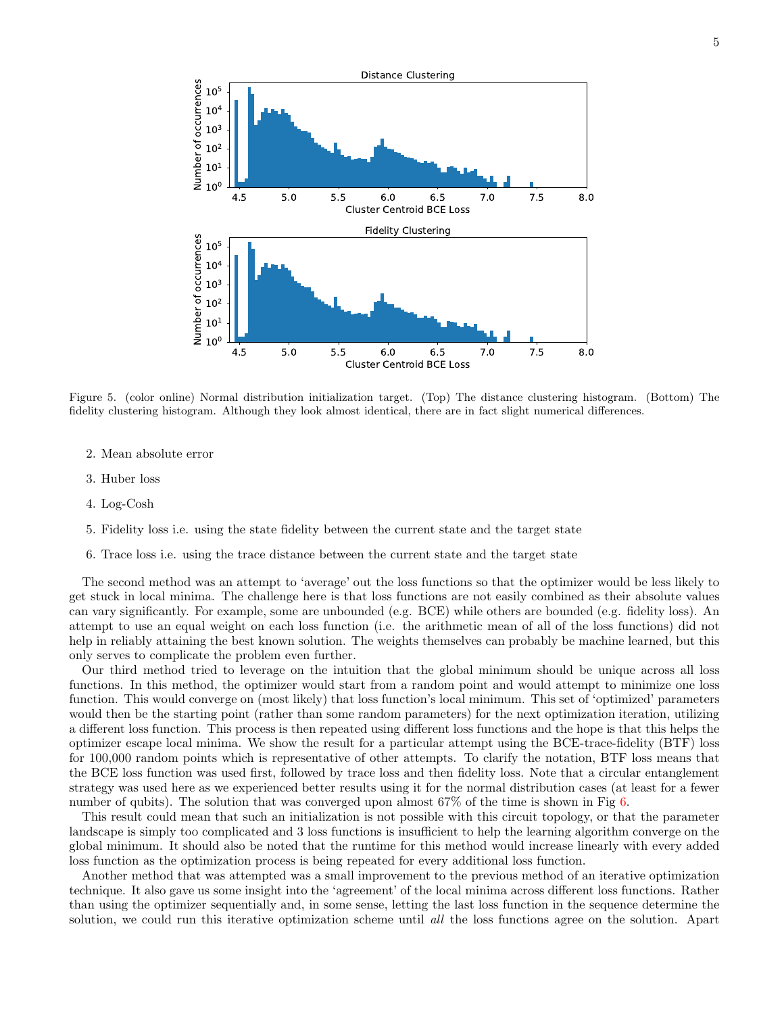

<span id="page-13-0"></span>Figure 5. (color online) Normal distribution initialization target. (Top) The distance clustering histogram. (Bottom) The fidelity clustering histogram. Although they look almost identical, there are in fact slight numerical differences.

- 2. Mean absolute error
- 3. Huber loss
- 4. Log-Cosh
- 5. Fidelity loss i.e. using the state fidelity between the current state and the target state
- 6. Trace loss i.e. using the trace distance between the current state and the target state

The second method was an attempt to 'average' out the loss functions so that the optimizer would be less likely to get stuck in local minima. The challenge here is that loss functions are not easily combined as their absolute values can vary significantly. For example, some are unbounded (e.g. BCE) while others are bounded (e.g. fidelity loss). An attempt to use an equal weight on each loss function (i.e. the arithmetic mean of all of the loss functions) did not help in reliably attaining the best known solution. The weights themselves can probably be machine learned, but this only serves to complicate the problem even further.

Our third method tried to leverage on the intuition that the global minimum should be unique across all loss functions. In this method, the optimizer would start from a random point and would attempt to minimize one loss function. This would converge on (most likely) that loss function's local minimum. This set of 'optimized' parameters would then be the starting point (rather than some random parameters) for the next optimization iteration, utilizing a different loss function. This process is then repeated using different loss functions and the hope is that this helps the optimizer escape local minima. We show the result for a particular attempt using the BCE-trace-fidelity (BTF) loss for 100,000 random points which is representative of other attempts. To clarify the notation, BTF loss means that the BCE loss function was used first, followed by trace loss and then fidelity loss. Note that a circular entanglement strategy was used here as we experienced better results using it for the normal distribution cases (at least for a fewer number of qubits). The solution that was converged upon almost 67% of the time is shown in Fig [6.](#page-14-6)

This result could mean that such an initialization is not possible with this circuit topology, or that the parameter landscape is simply too complicated and 3 loss functions is insufficient to help the learning algorithm converge on the global minimum. It should also be noted that the runtime for this method would increase linearly with every added loss function as the optimization process is being repeated for every additional loss function.

Another method that was attempted was a small improvement to the previous method of an iterative optimization technique. It also gave us some insight into the 'agreement' of the local minima across different loss functions. Rather than using the optimizer sequentially and, in some sense, letting the last loss function in the sequence determine the solution, we could run this iterative optimization scheme until all the loss functions agree on the solution. Apart